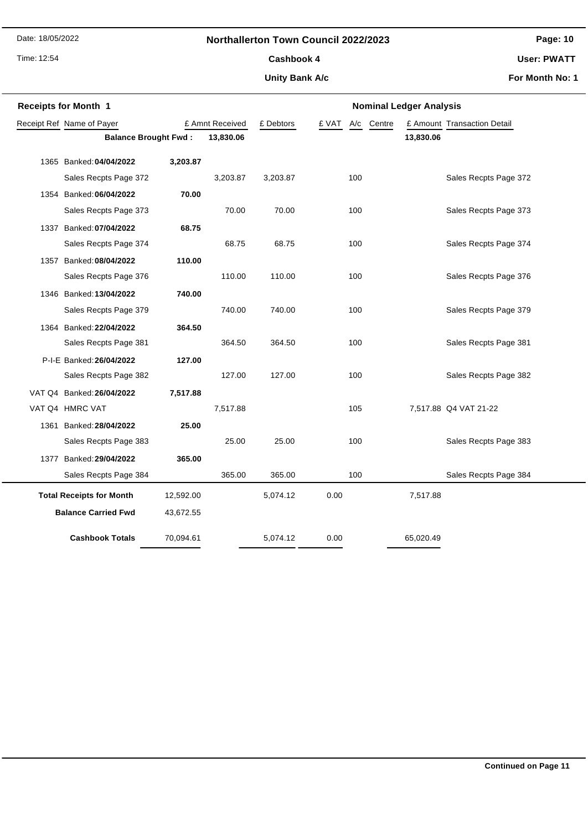Date: 18/05/2022

#### **Northallerton Town Council 2022/2023**

Time: 12:54

# Cashbook 4

**Unity Bank A/c**

**User: PWATT**

**For Month No: 1**

| <b>Receipts for Month 1</b>     |                           |           |                 | <b>Nominal Ledger Analysis</b> |       |            |                             |  |
|---------------------------------|---------------------------|-----------|-----------------|--------------------------------|-------|------------|-----------------------------|--|
|                                 | Receipt Ref Name of Payer |           | £ Amnt Received | £ Debtors                      | £ VAT | A/c Centre | £ Amount Transaction Detail |  |
| <b>Balance Brought Fwd:</b>     |                           |           | 13,830.06       |                                |       | 13,830.06  |                             |  |
|                                 | 1365 Banked: 04/04/2022   | 3,203.87  |                 |                                |       |            |                             |  |
|                                 | Sales Recpts Page 372     |           | 3,203.87        | 3,203.87                       | 100   |            | Sales Recpts Page 372       |  |
|                                 | 1354 Banked: 06/04/2022   | 70.00     |                 |                                |       |            |                             |  |
|                                 | Sales Recpts Page 373     |           | 70.00           | 70.00                          | 100   |            | Sales Recpts Page 373       |  |
|                                 | 1337 Banked: 07/04/2022   | 68.75     |                 |                                |       |            |                             |  |
|                                 | Sales Recpts Page 374     |           | 68.75           | 68.75                          | 100   |            | Sales Recpts Page 374       |  |
|                                 | 1357 Banked: 08/04/2022   | 110.00    |                 |                                |       |            |                             |  |
|                                 | Sales Recpts Page 376     |           | 110.00          | 110.00                         | 100   |            | Sales Recpts Page 376       |  |
|                                 | 1346 Banked: 13/04/2022   | 740.00    |                 |                                |       |            |                             |  |
|                                 | Sales Recpts Page 379     |           | 740.00          | 740.00                         | 100   |            | Sales Recpts Page 379       |  |
|                                 | 1364 Banked: 22/04/2022   | 364.50    |                 |                                |       |            |                             |  |
|                                 | Sales Recpts Page 381     |           | 364.50          | 364.50                         | 100   |            | Sales Recpts Page 381       |  |
|                                 | P-I-E Banked: 26/04/2022  | 127.00    |                 |                                |       |            |                             |  |
|                                 | Sales Recpts Page 382     |           | 127.00          | 127.00                         | 100   |            | Sales Recpts Page 382       |  |
|                                 | VAT Q4 Banked: 26/04/2022 | 7,517.88  |                 |                                |       |            |                             |  |
|                                 | VAT Q4 HMRC VAT           |           | 7,517.88        |                                | 105   |            | 7,517.88 Q4 VAT 21-22       |  |
|                                 | 1361 Banked: 28/04/2022   | 25.00     |                 |                                |       |            |                             |  |
|                                 | Sales Recpts Page 383     |           | 25.00           | 25.00                          | 100   |            | Sales Recpts Page 383       |  |
|                                 | 1377 Banked: 29/04/2022   | 365.00    |                 |                                |       |            |                             |  |
|                                 | Sales Recpts Page 384     |           | 365.00          | 365.00                         | 100   |            | Sales Recpts Page 384       |  |
| <b>Total Receipts for Month</b> |                           | 12,592.00 |                 | 5,074.12                       | 0.00  | 7,517.88   |                             |  |
| <b>Balance Carried Fwd</b>      |                           | 43,672.55 |                 |                                |       |            |                             |  |
|                                 |                           |           |                 |                                |       |            |                             |  |
|                                 | <b>Cashbook Totals</b>    | 70,094.61 |                 | 5,074.12                       | 0.00  | 65,020.49  |                             |  |

**Page: 10**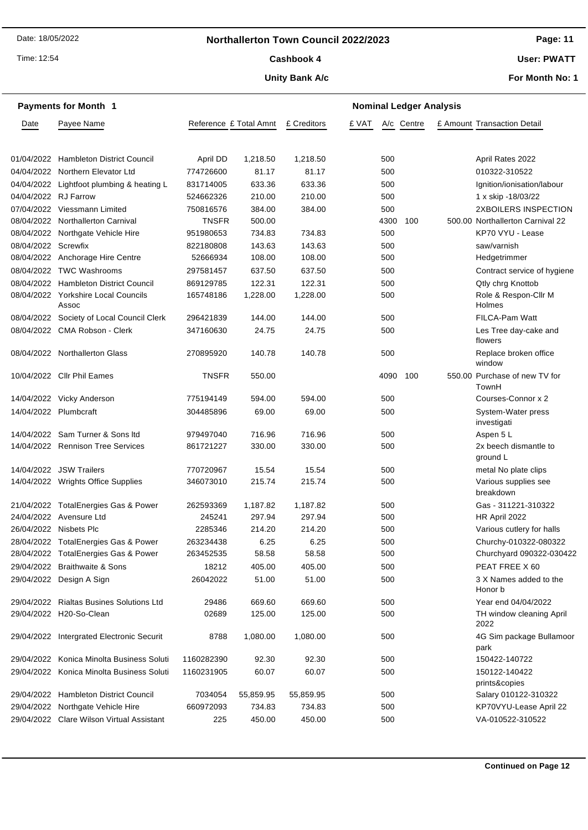### **Northallerton Town Council 2022/2023**

Time: 12:54

#### Cashbook 4

#### **Unity Bank A/c**

**User: PWATT**

**For Month No: 1**

| <b>Payments for Month 1</b> |                                           |                        |           | <b>Nominal Ledger Analysis</b> |       |      |            |  |                                        |
|-----------------------------|-------------------------------------------|------------------------|-----------|--------------------------------|-------|------|------------|--|----------------------------------------|
| Date                        | Payee Name                                | Reference £ Total Amnt |           | £ Creditors                    | £ VAT |      | A/c Centre |  | £ Amount Transaction Detail            |
|                             |                                           |                        |           |                                |       |      |            |  |                                        |
|                             | 01/04/2022 Hambleton District Council     | April DD               | 1,218.50  | 1,218.50                       |       | 500  |            |  | April Rates 2022                       |
|                             | 04/04/2022 Northern Elevator Ltd          | 774726600              | 81.17     | 81.17                          |       | 500  |            |  | 010322-310522                          |
|                             | 04/04/2022 Lightfoot plumbing & heating L | 831714005              | 633.36    | 633.36                         |       | 500  |            |  | Ignition/ionisation/labour             |
| 04/04/2022 RJ Farrow        |                                           | 524662326              | 210.00    | 210.00                         |       | 500  |            |  | 1 x skip -18/03/22                     |
|                             | 07/04/2022 Viessmann Limited              | 750816576              | 384.00    | 384.00                         |       | 500  |            |  | 2XBOILERS INSPECTION                   |
|                             | 08/04/2022 Northallerton Carnival         | <b>TNSFR</b>           | 500.00    |                                |       | 4300 | 100        |  | 500.00 Northallerton Carnival 22       |
|                             | 08/04/2022 Northgate Vehicle Hire         | 951980653              | 734.83    | 734.83                         |       | 500  |            |  | KP70 VYU - Lease                       |
| 08/04/2022 Screwfix         |                                           | 822180808              | 143.63    | 143.63                         |       | 500  |            |  | saw/varnish                            |
|                             | 08/04/2022 Anchorage Hire Centre          | 52666934               | 108.00    | 108.00                         |       | 500  |            |  | Hedgetrimmer                           |
|                             | 08/04/2022 TWC Washrooms                  | 297581457              | 637.50    | 637.50                         |       | 500  |            |  | Contract service of hygiene            |
|                             | 08/04/2022 Hambleton District Council     | 869129785              | 122.31    | 122.31                         |       | 500  |            |  | Qtly chrg Knottob                      |
| 08/04/2022                  | <b>Yorkshire Local Councils</b><br>Assoc  | 165748186              | 1,228.00  | 1,228.00                       |       | 500  |            |  | Role & Respon-Cllr M<br>Holmes         |
|                             | 08/04/2022 Society of Local Council Clerk | 296421839              | 144.00    | 144.00                         |       | 500  |            |  | <b>FILCA-Pam Watt</b>                  |
|                             | 08/04/2022 CMA Robson - Clerk             | 347160630              | 24.75     | 24.75                          |       | 500  |            |  | Les Tree day-cake and<br>flowers       |
|                             | 08/04/2022 Northallerton Glass            | 270895920              | 140.78    | 140.78                         |       | 500  |            |  | Replace broken office<br>window        |
|                             | 10/04/2022 Cllr Phil Eames                | <b>TNSFR</b>           | 550.00    |                                |       | 4090 | 100        |  | 550.00 Purchase of new TV for<br>TownH |
|                             | 14/04/2022 Vicky Anderson                 | 775194149              | 594.00    | 594.00                         |       | 500  |            |  | Courses-Connor x 2                     |
| 14/04/2022 Plumbcraft       |                                           | 304485896              | 69.00     | 69.00                          |       | 500  |            |  | System-Water press<br>investigati      |
|                             | 14/04/2022 Sam Turner & Sons Itd          | 979497040              | 716.96    | 716.96                         |       | 500  |            |  | Aspen 5 L                              |
|                             | 14/04/2022 Rennison Tree Services         | 861721227              | 330.00    | 330.00                         |       | 500  |            |  | 2x beech dismantle to<br>ground L      |
|                             | 14/04/2022 JSW Trailers                   | 770720967              | 15.54     | 15.54                          |       | 500  |            |  | metal No plate clips                   |
|                             | 14/04/2022 Wrights Office Supplies        | 346073010              | 215.74    | 215.74                         |       | 500  |            |  | Various supplies see<br>breakdown      |
|                             | 21/04/2022 TotalEnergies Gas & Power      | 262593369              | 1,187.82  | 1,187.82                       |       | 500  |            |  | Gas - 311221-310322                    |
|                             | 24/04/2022 Avensure Ltd                   | 245241                 | 297.94    | 297.94                         |       | 500  |            |  | HR April 2022                          |
|                             | 26/04/2022 Nisbets Plc                    | 2285346                | 214.20    | 214.20                         |       | 500  |            |  | Various cutlery for halls              |
|                             | 28/04/2022 TotalEnergies Gas & Power      | 263234438              | 6.25      | 6.25                           |       | 500  |            |  | Churchy-010322-080322                  |
|                             | 28/04/2022 TotalEnergies Gas & Power      | 263452535              | 58.58     | 58.58                          |       | 500  |            |  | Churchyard 090322-030422               |
|                             | 29/04/2022 Braithwaite & Sons             | 18212                  | 405.00    | 405.00                         |       | 500  |            |  | PEAT FREE X 60                         |
|                             | 29/04/2022 Design A Sign                  | 26042022               | 51.00     | 51.00                          |       | 500  |            |  | 3 X Names added to the<br>Honor b      |
|                             | 29/04/2022 Rialtas Busines Solutions Ltd  | 29486                  | 669.60    | 669.60                         |       | 500  |            |  | Year end 04/04/2022                    |
|                             | 29/04/2022 H20-So-Clean                   | 02689                  | 125.00    | 125.00                         |       | 500  |            |  | TH window cleaning April<br>2022       |
|                             | 29/04/2022 Intergrated Electronic Securit | 8788                   | 1,080.00  | 1,080.00                       |       | 500  |            |  | 4G Sim package Bullamoor<br>park       |
|                             | 29/04/2022 Konica Minolta Business Soluti | 1160282390             | 92.30     | 92.30                          |       | 500  |            |  | 150422-140722                          |
|                             | 29/04/2022 Konica Minolta Business Soluti | 1160231905             | 60.07     | 60.07                          |       | 500  |            |  | 150122-140422<br>prints&copies         |
|                             | 29/04/2022 Hambleton District Council     | 7034054                | 55,859.95 | 55,859.95                      |       | 500  |            |  | Salary 010122-310322                   |
|                             | 29/04/2022 Northgate Vehicle Hire         | 660972093              | 734.83    | 734.83                         |       | 500  |            |  | KP70VYU-Lease April 22                 |
|                             | 29/04/2022 Clare Wilson Virtual Assistant | 225                    | 450.00    | 450.00                         |       | 500  |            |  | VA-010522-310522                       |

## **Page: 11**